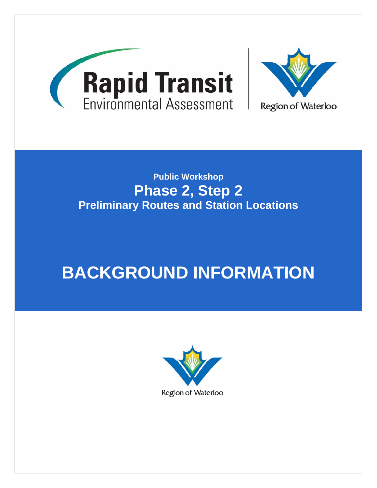

# **Public Workshop Phase 2, Step 2 Preliminary Routes and Station Locations**

# **BACKGROUND INFORMATION**

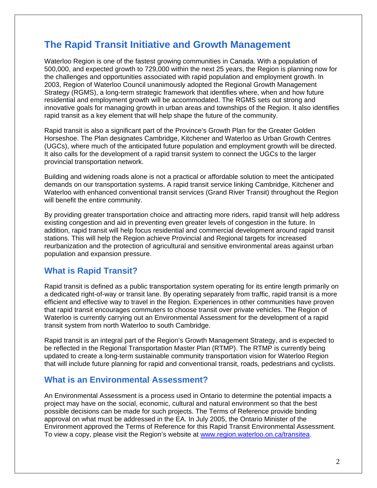# **The Rapid Transit Initiative and Growth Management**

Waterloo Region is one of the fastest growing communities in Canada. With a population of 500,000, and expected growth to 729,000 within the next 25 years, the Region is planning now for the challenges and opportunities associated with rapid population and employment growth. In 2003, Region of Waterloo Council unanimously adopted the Regional Growth Management Strategy (RGMS), a long-term strategic framework that identifies where, when and how future residential and employment growth will be accommodated. The RGMS sets out strong and innovative goals for managing growth in urban areas and townships of the Region. It also identifies rapid transit as a key element that will help shape the future of the community.

Rapid transit is also a significant part of the Province's Growth Plan for the Greater Golden Horseshoe. The Plan designates Cambridge, Kitchener and Waterloo as Urban Growth Centres (UGCs), where much of the anticipated future population and employment growth will be directed. It also calls for the development of a rapid transit system to connect the UGCs to the larger provincial transportation network.

Building and widening roads alone is not a practical or affordable solution to meet the anticipated demands on our transportation systems. A rapid transit service linking Cambridge, Kitchener and Waterloo with enhanced conventional transit services (Grand River Transit) throughout the Region will benefit the entire community.

By providing greater transportation choice and attracting more riders, rapid transit will help address existing congestion and aid in preventing even greater levels of congestion in the future. In addition, rapid transit will help focus residential and commercial development around rapid transit stations. This will help the Region achieve Provincial and Regional targets for increased reurbanization and the protection of agricultural and sensitive environmental areas against urban population and expansion pressure.

## **What is Rapid Transit?**

Rapid transit is defined as a public transportation system operating for its entire length primarily on a dedicated right-of-way or transit lane. By operating separately from traffic, rapid transit is a more efficient and effective way to travel in the Region. Experiences in other communities have proven that rapid transit encourages commuters to choose transit over private vehicles. The Region of Waterloo is currently carrying out an Environmental Assessment for the development of a rapid transit system from north Waterloo to south Cambridge.

Rapid transit is an integral part of the Region's Growth Management Strategy, and is expected to be reflected in the Regional Transportation Master Plan (RTMP). The RTMP is currently being updated to create a long-term sustainable community transportation vision for Waterloo Region that will include future planning for rapid and conventional transit, roads, pedestrians and cyclists.

## **What is an Environmental Assessment?**

An Environmental Assessment is a process used in Ontario to determine the potential impacts a project may have on the social, economic, cultural and natural environment so that the best possible decisions can be made for such projects. The Terms of Reference provide binding approval on what must be addressed in the EA. In July 2005, the Ontario Minister of the Environment approved the Terms of Reference for this Rapid Transit Environmental Assessment. To view a copy, please visit the Region's website at www.region.waterloo.on.ca/transitea.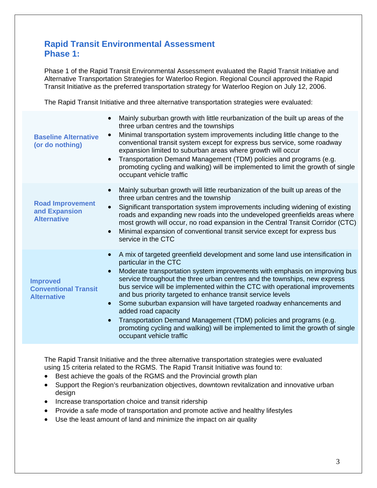# **Rapid Transit Environmental Assessment Phase 1:**

Phase 1 of the Rapid Transit Environmental Assessment evaluated the Rapid Transit Initiative and Alternative Transportation Strategies for Waterloo Region. Regional Council approved the Rapid Transit Initiative as the preferred transportation strategy for Waterloo Region on July 12, 2006.

The Rapid Transit Initiative and three alternative transportation strategies were evaluated:

| <b>Baseline Alternative</b><br>(or do nothing)                       | Mainly suburban growth with little reurbanization of the built up areas of the<br>$\bullet$<br>three urban centres and the townships<br>Minimal transportation system improvements including little change to the<br>$\bullet$<br>conventional transit system except for express bus service, some roadway<br>expansion limited to suburban areas where growth will occur<br>Transportation Demand Management (TDM) policies and programs (e.g.<br>$\bullet$<br>promoting cycling and walking) will be implemented to limit the growth of single<br>occupant vehicle traffic                                                                                                                                                   |
|----------------------------------------------------------------------|--------------------------------------------------------------------------------------------------------------------------------------------------------------------------------------------------------------------------------------------------------------------------------------------------------------------------------------------------------------------------------------------------------------------------------------------------------------------------------------------------------------------------------------------------------------------------------------------------------------------------------------------------------------------------------------------------------------------------------|
| <b>Road Improvement</b><br>and Expansion<br><b>Alternative</b>       | Mainly suburban growth will little reurbanization of the built up areas of the<br>$\bullet$<br>three urban centres and the township<br>Significant transportation system improvements including widening of existing<br>$\bullet$<br>roads and expanding new roads into the undeveloped greenfields areas where<br>most growth will occur, no road expansion in the Central Transit Corridor (CTC)<br>Minimal expansion of conventional transit service except for express bus<br>$\bullet$<br>service in the CTC                                                                                                                                                                                                              |
| <b>Improved</b><br><b>Conventional Transit</b><br><b>Alternative</b> | A mix of targeted greenfield development and some land use intensification in<br>particular in the CTC<br>Moderate transportation system improvements with emphasis on improving bus<br>$\bullet$<br>service throughout the three urban centres and the townships, new express<br>bus service will be implemented within the CTC with operational improvements<br>and bus priority targeted to enhance transit service levels<br>Some suburban expansion will have targeted roadway enhancements and<br>added road capacity<br>Transportation Demand Management (TDM) policies and programs (e.g.<br>$\bullet$<br>promoting cycling and walking) will be implemented to limit the growth of single<br>occupant vehicle traffic |

The Rapid Transit Initiative and the three alternative transportation strategies were evaluated using 15 criteria related to the RGMS. The Rapid Transit Initiative was found to:

- Best achieve the goals of the RGMS and the Provincial growth plan
- Support the Region's reurbanization objectives, downtown revitalization and innovative urban design
- Increase transportation choice and transit ridership
- Provide a safe mode of transportation and promote active and healthy lifestyles
- Use the least amount of land and minimize the impact on air quality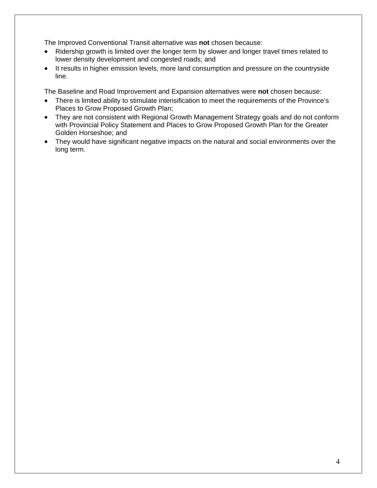The Improved Conventional Transit alternative was **not** chosen because:

- Ridership growth is limited over the longer term by slower and longer travel times related to lower density development and congested roads; and
- It results in higher emission levels, more land consumption and pressure on the countryside line.

The Baseline and Road Improvement and Expansion alternatives were **not** chosen because:

- There is limited ability to stimulate intensification to meet the requirements of the Province's Places to Grow Proposed Growth Plan;
- They are not consistent with Regional Growth Management Strategy goals and do not conform with Provincial Policy Statement and Places to Grow Proposed Growth Plan for the Greater Golden Horseshoe; and
- They would have significant negative impacts on the natural and social environments over the long term.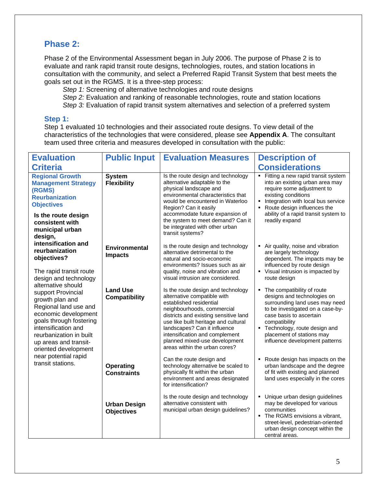# **Phase 2:**

Phase 2 of the Environmental Assessment began in July 2006. The purpose of Phase 2 is to evaluate and rank rapid transit route designs, technologies, routes, and station locations in consultation with the community, and select a Preferred Rapid Transit System that best meets the goals set out in the RGMS. It is a three-step process:

*Step 1:* Screening of alternative technologies and route designs

*Step 2:* Evaluation and ranking of reasonable technologies, route and station locations

*Step 3:* Evaluation of rapid transit system alternatives and selection of a preferred system

#### **Step 1:**

Step 1 evaluated 10 technologies and their associated route designs. To view detail of the characteristics of the technologies that were considered, please see **Appendix A**. The consultant team used three criteria and measures developed in consultation with the public:

| <b>Evaluation</b>                                                                                                                                                                                                                                                                       | <b>Public Input</b>                      | <b>Evaluation Measures</b>                                                                                                                                                                                                                                                                                                                      | <b>Description of</b>                                                                                                                                                                                                                                                      |
|-----------------------------------------------------------------------------------------------------------------------------------------------------------------------------------------------------------------------------------------------------------------------------------------|------------------------------------------|-------------------------------------------------------------------------------------------------------------------------------------------------------------------------------------------------------------------------------------------------------------------------------------------------------------------------------------------------|----------------------------------------------------------------------------------------------------------------------------------------------------------------------------------------------------------------------------------------------------------------------------|
| <b>Criteria</b>                                                                                                                                                                                                                                                                         |                                          |                                                                                                                                                                                                                                                                                                                                                 | <b>Considerations</b>                                                                                                                                                                                                                                                      |
| <b>Regional Growth</b><br><b>Management Strategy</b><br>(RGMS)<br><b>Reurbanization</b><br><b>Objectives</b>                                                                                                                                                                            | <b>System</b><br><b>Flexibility</b>      | Is the route design and technology<br>alternative adaptable to the<br>physical landscape and<br>environmental characteristics that<br>would be encountered in Waterloo<br>Region? Can it easily                                                                                                                                                 | • Fitting a new rapid transit system<br>into an existing urban area may<br>require some adjustment to<br>existing conditions<br>Integration with local bus service<br>Route design influences the                                                                          |
| Is the route design<br>consistent with<br>municipal urban<br>design,                                                                                                                                                                                                                    |                                          | accommodate future expansion of<br>the system to meet demand? Can it<br>be integrated with other urban<br>transit systems?                                                                                                                                                                                                                      | ability of a rapid transit system to<br>readily expand                                                                                                                                                                                                                     |
| intensification and<br>reurbanization<br>objectives?                                                                                                                                                                                                                                    | <b>Environmental</b><br><b>Impacts</b>   | Is the route design and technology<br>alternative detrimental to the<br>natural and socio-economic<br>environments? Issues such as air                                                                                                                                                                                                          | Air quality, noise and vibration<br>are largely technology<br>dependent. The impacts may be<br>influenced by route design                                                                                                                                                  |
| The rapid transit route<br>design and technology                                                                                                                                                                                                                                        |                                          | quality, noise and vibration and<br>visual intrusion are considered.                                                                                                                                                                                                                                                                            | Visual intrusion is impacted by<br>route design                                                                                                                                                                                                                            |
| alternative should<br>support Provincial<br>growth plan and<br>Regional land use and<br>economic development<br>goals through fostering<br>intensification and<br>reurbanization in built<br>up areas and transit-<br>oriented development<br>near potential rapid<br>transit stations. | <b>Land Use</b><br><b>Compatibility</b>  | Is the route design and technology<br>alternative compatible with<br>established residential<br>neighbourhoods, commercial<br>districts and existing sensitive land<br>use like built heritage and cultural<br>landscapes? Can it influence<br>intensification and complement<br>planned mixed-use development<br>areas within the urban cores? | The compatibility of route<br>designs and technologies on<br>surrounding land uses may need<br>to be investigated on a case-by-<br>case basis to ascertain<br>compatibility<br>Technology, route design and<br>placement of stations may<br>influence development patterns |
|                                                                                                                                                                                                                                                                                         | <b>Operating</b><br><b>Constraints</b>   | Can the route design and<br>technology alternative be scaled to<br>physically fit within the urban<br>environment and areas designated<br>for intensification?                                                                                                                                                                                  | Route design has impacts on the<br>urban landscape and the degree<br>of fit with existing and planned<br>land uses especially in the cores                                                                                                                                 |
|                                                                                                                                                                                                                                                                                         | <b>Urban Design</b><br><b>Objectives</b> | Is the route design and technology<br>alternative consistent with<br>municipal urban design guidelines?                                                                                                                                                                                                                                         | Unique urban design guidelines<br>may be developed for various<br>communities<br>• The RGMS envisions a vibrant,<br>street-level, pedestrian-oriented<br>urban design concept within the<br>central areas.                                                                 |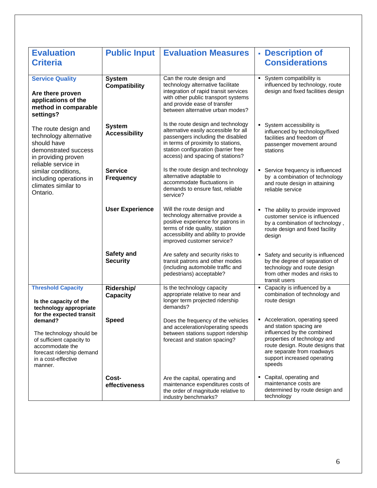| <b>Evaluation</b>                                  | <b>Public Input</b>                   | <b>Evaluation Measures</b>                                                  | - Description of                                                  |
|----------------------------------------------------|---------------------------------------|-----------------------------------------------------------------------------|-------------------------------------------------------------------|
| <b>Criteria</b>                                    |                                       |                                                                             | <b>Considerations</b>                                             |
|                                                    |                                       |                                                                             |                                                                   |
| <b>Service Quality</b>                             | <b>System</b><br><b>Compatibility</b> | Can the route design and<br>technology alternative facilitate               | System compatibility is<br>influenced by technology, route        |
| Are there proven                                   |                                       | integration of rapid transit services                                       | design and fixed facilities design                                |
| applications of the                                |                                       | with other public transport systems                                         |                                                                   |
| method in comparable                               |                                       | and provide ease of transfer<br>between alternative urban modes?            |                                                                   |
| settings?                                          |                                       |                                                                             |                                                                   |
| The route design and                               | <b>System</b>                         | Is the route design and technology<br>alternative easily accessible for all | System accessibility is                                           |
| technology alternative                             | <b>Accessibility</b>                  | passengers including the disabled                                           | influenced by technology/fixed<br>facilities and freedom of       |
| should have                                        |                                       | in terms of proximity to stations,                                          | passenger movement around                                         |
| demonstrated success<br>in providing proven        |                                       | station configuration (barrier free<br>access) and spacing of stations?     | stations                                                          |
| reliable service in                                |                                       |                                                                             |                                                                   |
| similar conditions,                                | <b>Service</b>                        | Is the route design and technology<br>alternative adaptable to              | • Service frequency is influenced                                 |
| including operations in<br>climates similar to     | <b>Frequency</b>                      | accommodate fluctuations in                                                 | by a combination of technology<br>and route design in attaining   |
| Ontario.                                           |                                       | demands to ensure fast, reliable                                            | reliable service                                                  |
|                                                    |                                       | service?                                                                    |                                                                   |
|                                                    | <b>User Experience</b>                | Will the route design and                                                   | The ability to provide improved                                   |
|                                                    |                                       | technology alternative provide a<br>positive experience for patrons in      | customer service is influenced<br>by a combination of technology, |
|                                                    |                                       | terms of ride quality, station                                              | route design and fixed facility                                   |
|                                                    |                                       | accessibility and ability to provide<br>improved customer service?          | design                                                            |
|                                                    |                                       |                                                                             |                                                                   |
|                                                    | Safety and                            | Are safety and security risks to                                            | Safety and security is influenced                                 |
|                                                    | <b>Security</b>                       | transit patrons and other modes<br>(including automobile traffic and        | by the degree of separation of<br>technology and route design     |
|                                                    |                                       | pedestrians) acceptable?                                                    | from other modes and risks to                                     |
| <b>Threshold Capacity</b>                          | Ridership/                            | Is the technology capacity                                                  | transit users<br>• Capacity is influenced by a                    |
|                                                    | <b>Capacity</b>                       | appropriate relative to near and                                            | combination of technology and                                     |
| Is the capacity of the                             |                                       | longer term projected ridership<br>demands?                                 | route design                                                      |
| technology appropriate<br>for the expected transit |                                       |                                                                             |                                                                   |
| demand?                                            | <b>Speed</b>                          | Does the frequency of the vehicles                                          | • Acceleration, operating speed<br>and station spacing are        |
| The technology should be                           |                                       | and acceleration/operating speeds<br>between stations support ridership     | influenced by the combined                                        |
| of sufficient capacity to                          |                                       | forecast and station spacing?                                               | properties of technology and                                      |
| accommodate the<br>forecast ridership demand       |                                       |                                                                             | route design. Route designs that<br>are separate from roadways    |
| in a cost-effective                                |                                       |                                                                             | support increased operating                                       |
| manner.                                            |                                       |                                                                             | speeds                                                            |
|                                                    | Cost-                                 | Are the capital, operating and                                              | Capital, operating and                                            |
|                                                    | effectiveness                         | maintenance expenditures costs of<br>the order of magnitude relative to     | maintenance costs are<br>determined by route design and           |
|                                                    |                                       | industry benchmarks?                                                        | technology                                                        |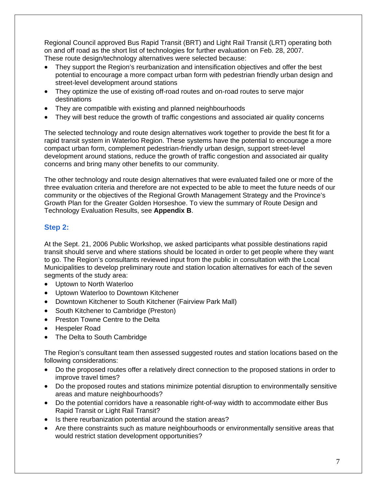Regional Council approved Bus Rapid Transit (BRT) and Light Rail Transit (LRT) operating both on and off road as the short list of technologies for further evaluation on Feb. 28, 2007. These route design/technology alternatives were selected because:

- They support the Region's reurbanization and intensification objectives and offer the best potential to encourage a more compact urban form with pedestrian friendly urban design and street-level development around stations
- They optimize the use of existing off-road routes and on-road routes to serve major destinations
- They are compatible with existing and planned neighbourhoods
- They will best reduce the growth of traffic congestions and associated air quality concerns

The selected technology and route design alternatives work together to provide the best fit for a rapid transit system in Waterloo Region. These systems have the potential to encourage a more compact urban form, complement pedestrian-friendly urban design, support street-level development around stations, reduce the growth of traffic congestion and associated air quality concerns and bring many other benefits to our community.

The other technology and route design alternatives that were evaluated failed one or more of the three evaluation criteria and therefore are not expected to be able to meet the future needs of our community or the objectives of the Regional Growth Management Strategy and the Province's Growth Plan for the Greater Golden Horseshoe. To view the summary of Route Design and Technology Evaluation Results, see **Appendix B**.

#### **Step 2:**

At the Sept. 21, 2006 Public Workshop, we asked participants what possible destinations rapid transit should serve and where stations should be located in order to get people where they want to go. The Region's consultants reviewed input from the public in consultation with the Local Municipalities to develop preliminary route and station location alternatives for each of the seven segments of the study area:

- Uptown to North Waterloo
- Uptown Waterloo to Downtown Kitchener
- Downtown Kitchener to South Kitchener (Fairview Park Mall)
- South Kitchener to Cambridge (Preston)
- Preston Towne Centre to the Delta
- Hespeler Road
- The Delta to South Cambridge

The Region's consultant team then assessed suggested routes and station locations based on the following considerations:

- Do the proposed routes offer a relatively direct connection to the proposed stations in order to improve travel times?
- Do the proposed routes and stations minimize potential disruption to environmentally sensitive areas and mature neighbourhoods?
- Do the potential corridors have a reasonable right-of-way width to accommodate either Bus Rapid Transit or Light Rail Transit?
- Is there reurbanization potential around the station areas?
- Are there constraints such as mature neighbourhoods or environmentally sensitive areas that would restrict station development opportunities?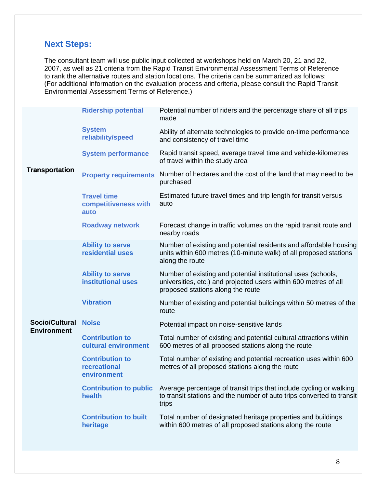# **Next Steps:**

The consultant team will use public input collected at workshops held on March 20, 21 and 22, 2007, as well as 21 criteria from the Rapid Transit Environmental Assessment Terms of Reference to rank the alternative routes and station locations. The criteria can be summarized as follows: (For additional information on the evaluation process and criteria, please consult the Rapid Transit Environmental Assessment Terms of Reference.)

|                                             | <b>Ridership potential</b>                            | Potential number of riders and the percentage share of all trips<br>made                                                                                               |  |  |  |  |
|---------------------------------------------|-------------------------------------------------------|------------------------------------------------------------------------------------------------------------------------------------------------------------------------|--|--|--|--|
| <b>Transportation</b>                       | <b>System</b><br>reliability/speed                    | Ability of alternate technologies to provide on-time performance<br>and consistency of travel time                                                                     |  |  |  |  |
|                                             | <b>System performance</b>                             | Rapid transit speed, average travel time and vehicle-kilometres<br>of travel within the study area                                                                     |  |  |  |  |
|                                             | <b>Property requirements</b>                          | Number of hectares and the cost of the land that may need to be<br>purchased                                                                                           |  |  |  |  |
|                                             | <b>Travel time</b><br>competitiveness with<br>auto    | Estimated future travel times and trip length for transit versus<br>auto                                                                                               |  |  |  |  |
|                                             | <b>Roadway network</b>                                | Forecast change in traffic volumes on the rapid transit route and<br>nearby roads                                                                                      |  |  |  |  |
|                                             | <b>Ability to serve</b><br>residential uses           | Number of existing and potential residents and affordable housing<br>units within 600 metres (10-minute walk) of all proposed stations<br>along the route              |  |  |  |  |
|                                             | <b>Ability to serve</b><br><b>institutional uses</b>  | Number of existing and potential institutional uses (schools,<br>universities, etc.) and projected users within 600 metres of all<br>proposed stations along the route |  |  |  |  |
|                                             | <b>Vibration</b>                                      | Number of existing and potential buildings within 50 metres of the<br>route                                                                                            |  |  |  |  |
| <b>Socio/Cultural</b><br><b>Environment</b> | <b>Noise</b>                                          | Potential impact on noise-sensitive lands                                                                                                                              |  |  |  |  |
|                                             | <b>Contribution to</b><br>cultural environment        | Total number of existing and potential cultural attractions within<br>600 metres of all proposed stations along the route                                              |  |  |  |  |
|                                             | <b>Contribution to</b><br>recreational<br>environment | Total number of existing and potential recreation uses within 600<br>metres of all proposed stations along the route                                                   |  |  |  |  |
|                                             | <b>Contribution to public</b><br>health               | Average percentage of transit trips that include cycling or walking<br>to transit stations and the number of auto trips converted to transit<br>trips                  |  |  |  |  |
|                                             | <b>Contribution to built</b><br>heritage              | Total number of designated heritage properties and buildings<br>within 600 metres of all proposed stations along the route                                             |  |  |  |  |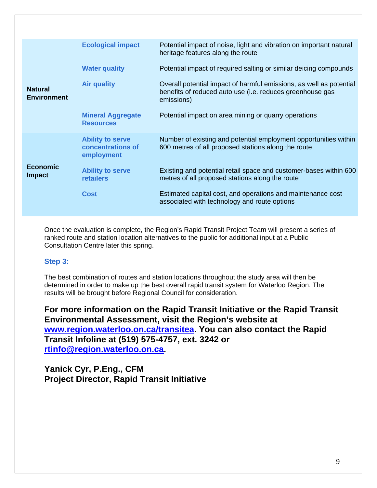|                                      | <b>Ecological impact</b>                                   | Potential impact of noise, light and vibration on important natural<br>heritage features along the route                                       |
|--------------------------------------|------------------------------------------------------------|------------------------------------------------------------------------------------------------------------------------------------------------|
|                                      | <b>Water quality</b>                                       | Potential impact of required salting or similar deicing compounds                                                                              |
| <b>Natural</b><br><b>Environment</b> | <b>Air quality</b>                                         | Overall potential impact of harmful emissions, as well as potential<br>benefits of reduced auto use (i.e. reduces greenhouse gas<br>emissions) |
|                                      | <b>Mineral Aggregate</b><br><b>Resources</b>               | Potential impact on area mining or quarry operations                                                                                           |
|                                      | <b>Ability to serve</b><br>concentrations of<br>employment | Number of existing and potential employment opportunities within<br>600 metres of all proposed stations along the route                        |
| <b>Economic</b><br><b>Impact</b>     | <b>Ability to serve</b><br><b>retailers</b>                | Existing and potential retail space and customer-bases within 600<br>metres of all proposed stations along the route                           |
|                                      | Cost                                                       | Estimated capital cost, and operations and maintenance cost<br>associated with technology and route options                                    |

Once the evaluation is complete, the Region's Rapid Transit Project Team will present a series of ranked route and station location alternatives to the public for additional input at a Public Consultation Centre later this spring.

## **Step 3:**

The best combination of routes and station locations throughout the study area will then be determined in order to make up the best overall rapid transit system for Waterloo Region. The results will be brought before Regional Council for consideration.

**For more information on the Rapid Transit Initiative or the Rapid Transit Environmental Assessment, visit the Region's website at www.region.waterloo.on.ca/transitea. You can also contact the Rapid Transit Infoline at (519) 575-4757, ext. 3242 or rtinfo@region.waterloo.on.ca.** 

**Yanick Cyr, P.Eng., CFM Project Director, Rapid Transit Initiative**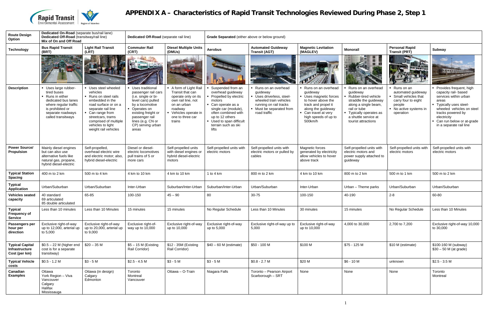

# **APPENDIX A – Characteristics of Rapid Transit Technologies Reviewed During Phase 2, Step 1**

| <b>Route Design</b><br>Option                             | Dedicated On-Road (separate bus/rail lane)<br>Dedicated Off-Road (transitway/rail line)<br>Mix of On and Off Road                                                      |                                                                                                                                                                                                                                         | Dedicated Off-Road (separate rail line)                                                                                                                                                                              |                                                                                                                                                                        | Grade Separated (either above or below ground)                                                                                                                                                                                |                                                                                                                                                            |                                                                                                                                                                                     |                                                                                                                                                                                                    |                                                                                                                                 |                                                                                                                                                                                                                                         |  |
|-----------------------------------------------------------|------------------------------------------------------------------------------------------------------------------------------------------------------------------------|-----------------------------------------------------------------------------------------------------------------------------------------------------------------------------------------------------------------------------------------|----------------------------------------------------------------------------------------------------------------------------------------------------------------------------------------------------------------------|------------------------------------------------------------------------------------------------------------------------------------------------------------------------|-------------------------------------------------------------------------------------------------------------------------------------------------------------------------------------------------------------------------------|------------------------------------------------------------------------------------------------------------------------------------------------------------|-------------------------------------------------------------------------------------------------------------------------------------------------------------------------------------|----------------------------------------------------------------------------------------------------------------------------------------------------------------------------------------------------|---------------------------------------------------------------------------------------------------------------------------------|-----------------------------------------------------------------------------------------------------------------------------------------------------------------------------------------------------------------------------------------|--|
| <b>Technology</b>                                         | <b>Bus Rapid Transit</b><br>(BRT)                                                                                                                                      | <b>Light Rail Transit</b><br>(LRT)                                                                                                                                                                                                      | <b>Commuter Rail</b><br>(CRT)                                                                                                                                                                                        | <b>Diesel Multiple Units</b><br>(DMUs)                                                                                                                                 | <b>Aerobus</b>                                                                                                                                                                                                                | <b>Automated Guideway</b><br><b>Transit (AGT)</b>                                                                                                          | <b>Magnetic Levitation</b><br>(MAGLEV)                                                                                                                                              | <b>Monorail</b>                                                                                                                                                                                    | <b>Personal Rapid</b><br><b>Transit (PRT)</b>                                                                                   | Subway                                                                                                                                                                                                                                  |  |
|                                                           |                                                                                                                                                                        |                                                                                                                                                                                                                                         | <b>Remembers</b>                                                                                                                                                                                                     |                                                                                                                                                                        |                                                                                                                                                                                                                               |                                                                                                                                                            |                                                                                                                                                                                     |                                                                                                                                                                                                    |                                                                                                                                 | <b>Hundr</b>                                                                                                                                                                                                                            |  |
| <b>Description</b>                                        | • Uses large rubber-<br>tired buses<br>• Runs in either<br>dedicated bus lanes<br>where regular traffic<br>is prohibited or<br>separate roadways<br>called transitways | • Uses steel wheeled<br>vehicles<br>Runs on steel rails<br>embedded in the<br>road surface or on a<br>separate rail line<br>• Can range from<br>streetcars, trams<br>comprised of multiple<br>vehicles to light<br>weight rail vehicles | Uses traditional<br>passenger rail cars<br>(i.e. single or bi-<br>level cars) pulled<br>by a locomotive<br>• Operates on<br>existing freight or<br>passenger rail<br>lines (e.g. CN or<br>CP) serving urban<br>areas | A form of Light Rail<br>Transit that can<br>operate only on its<br>own rail line, not<br>on an urban<br>roadway<br>• Vehicles operate in<br>one to three car<br>trains | Suspended from an<br>overhead guideway<br>Propelled by electric<br>motors<br>• Can operate as a<br>single car (module),<br>often combined with<br>up to 12 others<br>• Used to span difficult<br>terrain such as ski<br>lifts | Runs on an overhead<br>guideway<br>Uses driverless, steel-<br>wheeled train vehicles<br>running on rail tracks<br>• Must be separated from<br>road traffic | Runs on an overhead<br>guideway<br>Uses magnetic forces<br>to hover above the<br>track and propel it<br>along the guideway<br>Can travel at very<br>high speeds of up to<br>500km/h | Runs on an overhead<br>guideway<br>Rubber-tired vehicle<br>straddle the guideway<br>along a single beam,<br>rail or tube<br>• Typically operates as<br>a shuttle service at<br>tourist attractions | Runs on an<br>automated guideway<br>Small vehicles that<br>carry four to eight<br>people<br>• No active systems in<br>operation | • Provides frequent, high<br>capacity rail- based<br>services within urban<br>areas<br>- Typically uses steel-<br>wheeled vehicles on steel<br>tracks powered by<br>electricity<br>Can run below or at-grade<br>in a separate rail line |  |
| <b>Power Source/</b><br>Propulsion                        | Mainly diesel engines<br>but can also use<br>alternative fuels like<br>natural gas, propane,<br>hybrid diesel-electric                                                 | Self-propelled,<br>overhead electric wire<br>and electric motor; also,<br>hybrid diesel-electric                                                                                                                                        | Diesel or diesel-<br>electric locomotives<br>pull trains of 5 or<br>more cars                                                                                                                                        | Self-propelled units<br>with diesel engines or<br>hybrid diesel-electric<br>motors                                                                                     | Self-propelled units with<br>electric motors                                                                                                                                                                                  | Self-propelled units with<br>electric motors or pulled by<br>cables                                                                                        | Magnetic forces<br>generated by electricity<br>allow vehicles to hover<br>above track                                                                                               | Self-propelled units with<br>electric motors and<br>power supply attached to<br>guideway                                                                                                           | Self-propelled units with<br>electric motors                                                                                    | Self-propelled units with<br>electric motors                                                                                                                                                                                            |  |
| <b>Typical Station</b><br><b>Spacing</b>                  | 400 m to 2 km                                                                                                                                                          | 500 m to 4 km                                                                                                                                                                                                                           | 4 km to 10 km                                                                                                                                                                                                        | 4 km to 10 km                                                                                                                                                          | 1 to 4 $km$                                                                                                                                                                                                                   | 800 m to 2 km                                                                                                                                              | 4 km to 10 km                                                                                                                                                                       | 800 m to 2 km                                                                                                                                                                                      | 500 m to 1 km                                                                                                                   | 500 m to 2 km                                                                                                                                                                                                                           |  |
| <b>Typical</b><br><b>Application</b>                      | Urban/Suburban                                                                                                                                                         | Urban/Suburban                                                                                                                                                                                                                          | Inter-Urban                                                                                                                                                                                                          | Suburban/Inter-Urban                                                                                                                                                   | Suburban/Inter-Urban                                                                                                                                                                                                          | Urban/Suburban                                                                                                                                             | Inter-Urban                                                                                                                                                                         | Urban - Theme parks                                                                                                                                                                                | Urban/Suburban                                                                                                                  | Urban/Suburban                                                                                                                                                                                                                          |  |
| <b>Vehicles seated</b><br>capacity                        | 40 standard<br>69 articulated<br>85 double articulated                                                                                                                 | 65-85                                                                                                                                                                                                                                   | 100-150                                                                                                                                                                                                              | $45 - 90$                                                                                                                                                              | 80                                                                                                                                                                                                                            | 30-75                                                                                                                                                      | 100-150                                                                                                                                                                             | 40-190                                                                                                                                                                                             | $2 - 8$                                                                                                                         | 60-80                                                                                                                                                                                                                                   |  |
| <b>Typical</b><br><b>Frequency of</b><br><b>Service</b>   | Less than 10 minutes                                                                                                                                                   | Less than 10 Minutes                                                                                                                                                                                                                    | 15 minutes                                                                                                                                                                                                           | 15 minutes                                                                                                                                                             | No Regular Schedule                                                                                                                                                                                                           | Less than 10 Minutes                                                                                                                                       | 30 minutes                                                                                                                                                                          | 15 minutes                                                                                                                                                                                         | No Regular Schedule                                                                                                             | Less than 10 Minutes                                                                                                                                                                                                                    |  |
| Passengers per<br>hour per<br>direction                   | Exclusive right-of-way<br>up to 12,000, arterial up<br>to 5,000                                                                                                        | Exclusive right-of-way<br>up to 20,000, arterial up<br>to 9,000                                                                                                                                                                         | Exclusive right-of-<br>way up to 10,000                                                                                                                                                                              | Exclusive right-of-way<br>up to 10,000                                                                                                                                 | Exclusive right-of-way<br>up to 5,000                                                                                                                                                                                         | Exclusive right-of-way up to<br>5,000                                                                                                                      | Exclusive right-of-way<br>up to 10,000                                                                                                                                              | 4,000 to 30,000                                                                                                                                                                                    | 2,700 to 7,200                                                                                                                  | Exclusive right-of-way 10,000<br>to 30,000                                                                                                                                                                                              |  |
| <b>Typical Capital</b><br>Infrastructure<br>Cost (per km) | $$0.5 - 22$ M (higher end<br>cost is for a separate<br>transitway)                                                                                                     | $$20 - 35$ M                                                                                                                                                                                                                            | $$5 - 15$ M (Existing<br>Rail Corridor)                                                                                                                                                                              | \$12 - 35M (Existing<br>Rail Corridor)                                                                                                                                 | $$40 - 60$ M (estimate)                                                                                                                                                                                                       | \$50 - 100 M                                                                                                                                               | \$100 M                                                                                                                                                                             | \$75 - 125 M                                                                                                                                                                                       | \$10 M (estimate)                                                                                                               | \$100-160 M (subway)<br>$$30 - 50$ M (at grade)                                                                                                                                                                                         |  |
| <b>Typical Vehicle</b><br>costs                           | $$0.5 - 1.2 M$                                                                                                                                                         | $$3 - 5 M$                                                                                                                                                                                                                              | $$2.5 - 4.5 M$                                                                                                                                                                                                       | $$3 - 5 M$                                                                                                                                                             | $$3 - 5 M$                                                                                                                                                                                                                    | $$0.8 - 2.7 M$                                                                                                                                             | \$20 M                                                                                                                                                                              | $$6 - 10 M$                                                                                                                                                                                        | unknown                                                                                                                         | $$2.5 - 3.5 M$                                                                                                                                                                                                                          |  |
| Canadian<br><b>Examples</b>                               | Ottawa<br>York Region - Viva<br>Vancouver<br>Calgary<br>Halifax<br>Mississauga                                                                                         | Ottawa (in design)<br>Calgary<br>Edmonton                                                                                                                                                                                               | Toronto<br>Montreal<br>Vancouver                                                                                                                                                                                     | Ottawa - O-Train                                                                                                                                                       | Niagara Falls                                                                                                                                                                                                                 | Toronto - Pearson Airport<br>Scarborough - SRT                                                                                                             | None                                                                                                                                                                                | None                                                                                                                                                                                               | None                                                                                                                            | Toronto<br>Montreal                                                                                                                                                                                                                     |  |